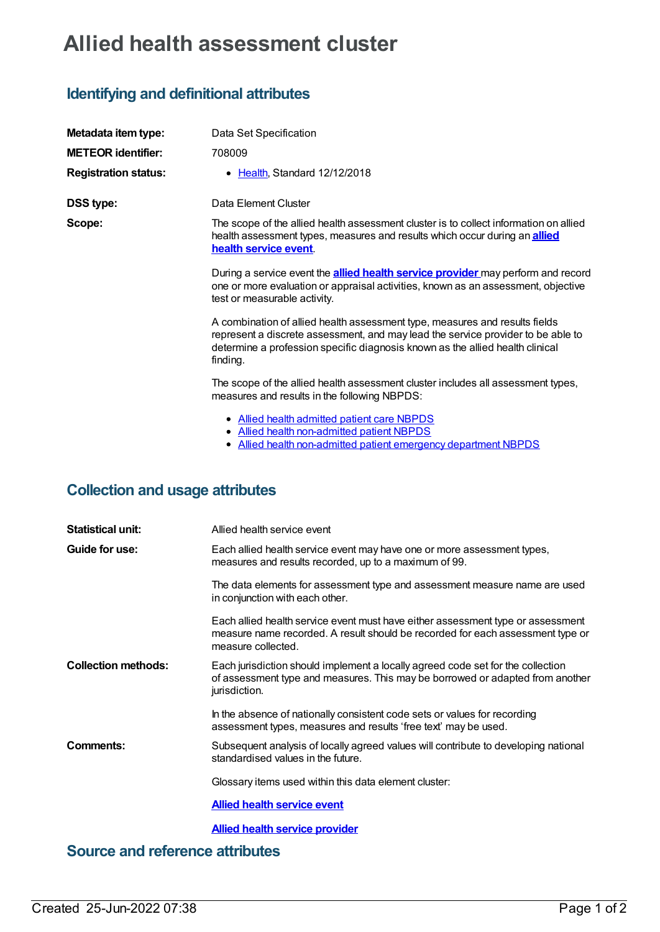# **Allied health assessment cluster**

# **Identifying and definitional attributes**

| Metadata item type:         | Data Set Specification                                                                                                                                                                                                                                       |
|-----------------------------|--------------------------------------------------------------------------------------------------------------------------------------------------------------------------------------------------------------------------------------------------------------|
| <b>METEOR identifier:</b>   | 708009                                                                                                                                                                                                                                                       |
| <b>Registration status:</b> | • Health, Standard 12/12/2018                                                                                                                                                                                                                                |
| <b>DSS type:</b>            | Data Element Cluster                                                                                                                                                                                                                                         |
| Scope:                      | The scope of the allied health assessment cluster is to collect information on allied<br>health assessment types, measures and results which occur during an <b>allied</b><br>health service event.                                                          |
|                             | During a service event the <b>allied health service provider</b> may perform and record<br>one or more evaluation or appraisal activities, known as an assessment, objective<br>test or measurable activity.                                                 |
|                             | A combination of allied health assessment type, measures and results fields<br>represent a discrete assessment, and may lead the service provider to be able to<br>determine a profession specific diagnosis known as the allied health clinical<br>finding. |
|                             | The scope of the allied health assessment cluster includes all assessment types,<br>measures and results in the following NBPDS:                                                                                                                             |
|                             | • Allied health admitted patient care NBPDS<br>• Allied health non-admitted patient NBPDS<br><u>Allied health non-admitted patient emergency department NBPDS</u>                                                                                            |

## **Collection and usage attributes**

| <b>Statistical unit:</b>   | Allied health service event                                                                                                                                                             |
|----------------------------|-----------------------------------------------------------------------------------------------------------------------------------------------------------------------------------------|
| Guide for use:             | Each allied health service event may have one or more assessment types,<br>measures and results recorded, up to a maximum of 99.                                                        |
|                            | The data elements for assessment type and assessment measure name are used<br>in conjunction with each other.                                                                           |
|                            | Each allied health service event must have either assessment type or assessment<br>measure name recorded. A result should be recorded for each assessment type or<br>measure collected. |
| <b>Collection methods:</b> | Each jurisdiction should implement a locally agreed code set for the collection<br>of assessment type and measures. This may be borrowed or adapted from another<br>jurisdiction.       |
|                            | In the absence of nationally consistent code sets or values for recording<br>assessment types, measures and results 'free text' may be used.                                            |
| Comments:                  | Subsequent analysis of locally agreed values will contribute to developing national<br>standardised values in the future.                                                               |
|                            | Glossary items used within this data element cluster:                                                                                                                                   |
|                            | <b>Allied health service event</b>                                                                                                                                                      |
|                            | <b>Allied health service provider</b>                                                                                                                                                   |

**Source and reference attributes**